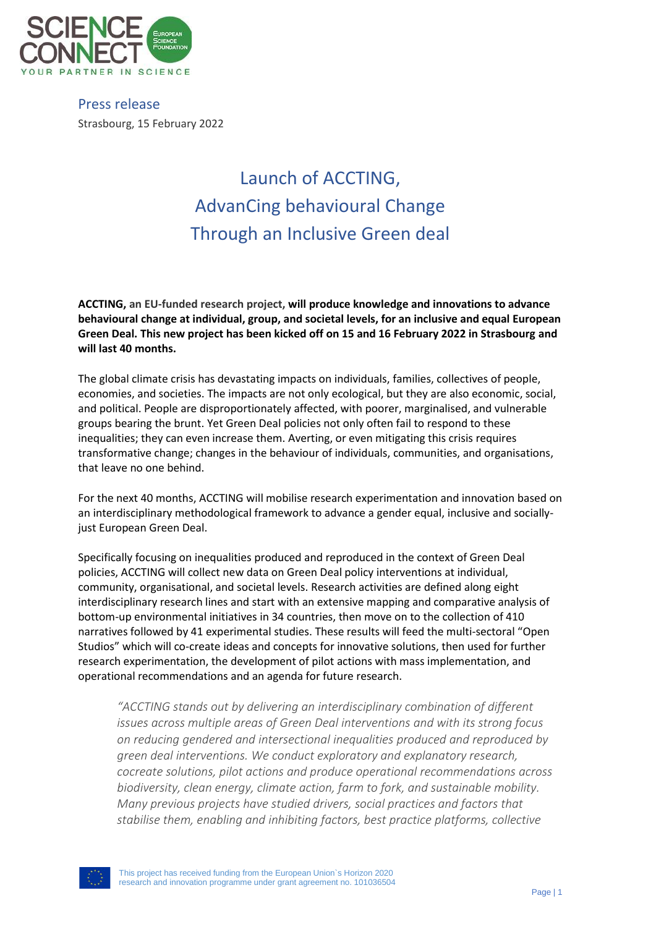

Press release Strasbourg, 15 February 2022

## Launch of ACCTING, AdvanCing behavioural Change Through an Inclusive Green deal

**ACCTING, an EU-funded research project, will produce knowledge and innovations to advance behavioural change at individual, group, and societal levels, for an inclusive and equal European Green Deal. This new project has been kicked off on 15 and 16 February 2022 in Strasbourg and will last 40 months.** 

The global climate crisis has devastating impacts on individuals, families, collectives of people, economies, and societies. The impacts are not only ecological, but they are also economic, social, and political. People are disproportionately affected, with poorer, marginalised, and vulnerable groups bearing the brunt. Yet Green Deal policies not only often fail to respond to these inequalities; they can even increase them. Averting, or even mitigating this crisis requires transformative change; changes in the behaviour of individuals, communities, and organisations, that leave no one behind.

For the next 40 months, ACCTING will mobilise research experimentation and innovation based on an interdisciplinary methodological framework to advance a gender equal, inclusive and sociallyjust European Green Deal.

Specifically focusing on inequalities produced and reproduced in the context of Green Deal policies, ACCTING will collect new data on Green Deal policy interventions at individual, community, organisational, and societal levels. Research activities are defined along eight interdisciplinary research lines and start with an extensive mapping and comparative analysis of bottom-up environmental initiatives in 34 countries, then move on to the collection of 410 narratives followed by 41 experimental studies. These results will feed the multi-sectoral "Open Studios" which will co-create ideas and concepts for innovative solutions, then used for further research experimentation, the development of pilot actions with mass implementation, and operational recommendations and an agenda for future research.

*"ACCTING stands out by delivering an interdisciplinary combination of different issues across multiple areas of Green Deal interventions and with its strong focus on reducing gendered and intersectional inequalities produced and reproduced by green deal interventions. We conduct exploratory and explanatory research, cocreate solutions, pilot actions and produce operational recommendations across biodiversity, clean energy, climate action, farm to fork, and sustainable mobility. Many previous projects have studied drivers, social practices and factors that stabilise them, enabling and inhibiting factors, best practice platforms, collective*